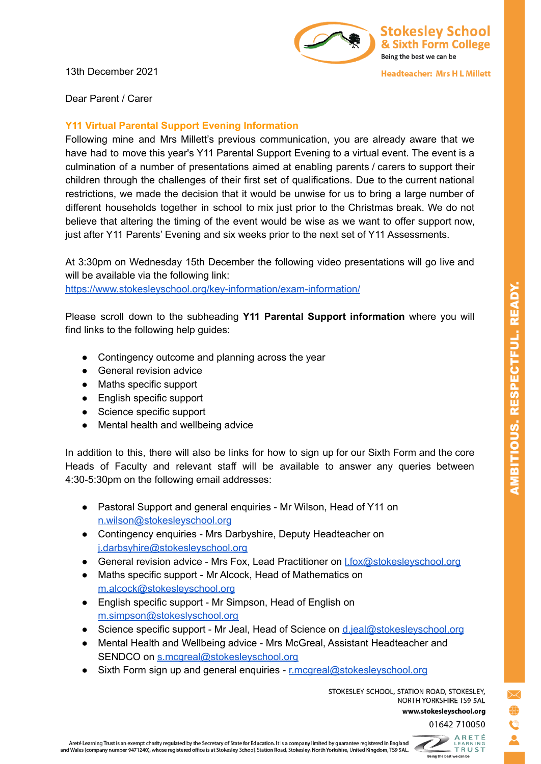13th December 2021



**Headteacher: Mrs H L Millett** 

Dear Parent / Carer

## **Y11 Virtual Parental Support Evening Information**

Following mine and Mrs Millett's previous communication, you are already aware that we have had to move this year's Y11 Parental Support Evening to a virtual event. The event is a culmination of a number of presentations aimed at enabling parents / carers to support their children through the challenges of their first set of qualifications. Due to the current national restrictions, we made the decision that it would be unwise for us to bring a large number of different households together in school to mix just prior to the Christmas break. We do not believe that altering the timing of the event would be wise as we want to offer support now, just after Y11 Parents' Evening and six weeks prior to the next set of Y11 Assessments.

At 3:30pm on Wednesday 15th December the following video presentations will go live and will be available via the following link: <https://www.stokesleyschool.org/key-information/exam-information/>

Please scroll down to the subheading **Y11 Parental Support information** where you will find links to the following help guides:

- Contingency outcome and planning across the year
- General revision advice
- Maths specific support
- English specific support
- Science specific support
- Mental health and wellbeing advice

In addition to this, there will also be links for how to sign up for our Sixth Form and the core Heads of Faculty and relevant staff will be available to answer any queries between 4:30-5:30pm on the following email addresses:

- Pastoral Support and general enquiries Mr Wilson, Head of Y11 on [n.wilson@stokesleyschool.org](mailto:n.wilson@stokesleyschool.org)
- Contingency enquiries Mrs Darbyshire, Deputy Headteacher on [j.darbsyhire@stokesleyschool.org](mailto:j.darbsyhire@stokesleyschool.org)
- General revision advice Mrs Fox, Lead Practitioner on [l.fox@stokesleyschool.org](mailto:l.fox@stokesleyschool.org)
- Maths specific support Mr Alcock, Head of Mathematics on [m.alcock@stokesleyschool.org](mailto:m.alcock@stokesleyschool.org)
- English specific support Mr Simpson, Head of English on [m.simpson@stokeslyschool.org](mailto:m.simpson@stokeslyschool.org)
- Science specific support Mr Jeal, Head of Science on [d.jeal@stokesleyschool.org](mailto:d.jeal@stokesleyschool.org)
- Mental Health and Wellbeing advice Mrs McGreal, Assistant Headteacher and SENDCO on [s.mcgreal@stokesleyschool.org](mailto:s.mcgreal@stokesleyschool.org)
- Sixth Form sign up and general enquiries [r.mcgreal@stokesleyschool.org](mailto:r.mcgreal@stokesleyschool.org)

STOKESLEY SCHOOL, STATION ROAD, STOKESLEY, NORTH YORKSHIRE TS9 5AL

www.stokesleyschool.org

01642 710050